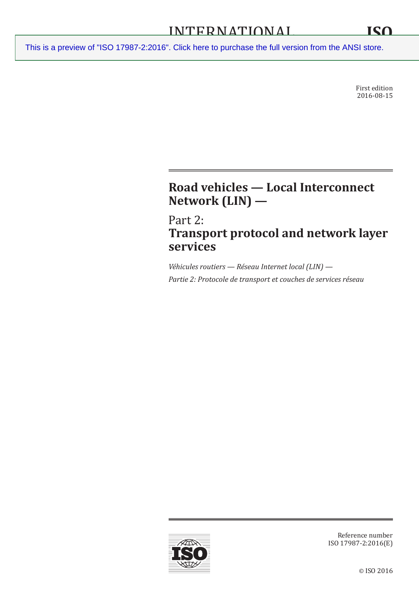First edition 2016-08-15

# **Road vehicles — Local Interconnect Network (LIN) —**

Part 2: **Transport protocol and network layer services**

*Véhicules routiers — Réseau Internet local (LIN) — Partie 2: Protocole de transport et couches de services réseau*



Reference number ISO 17987-2:2016(E)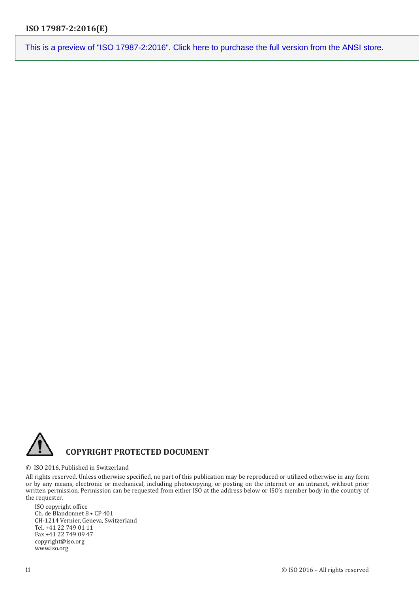

#### © ISO 2016, Published in Switzerland

All rights reserved. Unless otherwise specified, no part of this publication may be reproduced or utilized otherwise in any form or by any means, electronic or mechanical, including photocopying, or posting on the internet or an intranet, without prior written permission. Permission can be requested from either ISO at the address below or ISO's member body in the country of the requester.

ISO copyright office Ch. de Blandonnet 8 • CP 401 CH-1214 Vernier, Geneva, Switzerland Tel. +41 22 749 01 11 Fax +41 22 749 09 47 copyright@iso.org www.iso.org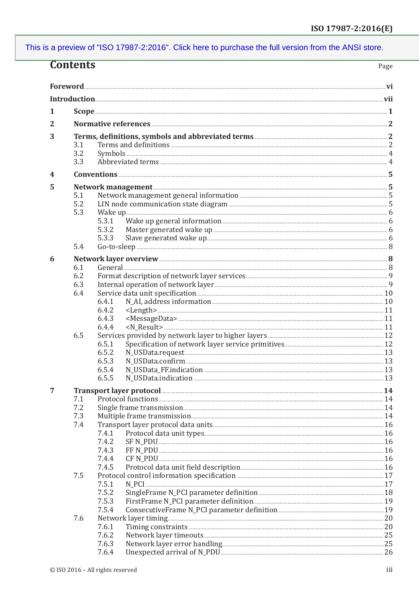| <b>Contents</b><br>Page |                       |                                        |  |  |  |  |  |
|-------------------------|-----------------------|----------------------------------------|--|--|--|--|--|
|                         |                       |                                        |  |  |  |  |  |
|                         |                       |                                        |  |  |  |  |  |
|                         |                       |                                        |  |  |  |  |  |
| 1                       |                       |                                        |  |  |  |  |  |
| 2                       |                       |                                        |  |  |  |  |  |
| 3                       |                       |                                        |  |  |  |  |  |
|                         | 3.1                   |                                        |  |  |  |  |  |
|                         | 3.2                   |                                        |  |  |  |  |  |
|                         | 3.3                   |                                        |  |  |  |  |  |
| 4                       |                       | $Conventions 5$                        |  |  |  |  |  |
| 5                       |                       | Network management <b>Management</b> 5 |  |  |  |  |  |
|                         | 5.1                   |                                        |  |  |  |  |  |
|                         | 5.2                   |                                        |  |  |  |  |  |
|                         | 5.3                   |                                        |  |  |  |  |  |
|                         |                       | 5.3.1<br>5.3.2                         |  |  |  |  |  |
|                         |                       | 5.3.3                                  |  |  |  |  |  |
|                         | 5.4                   |                                        |  |  |  |  |  |
| 6                       |                       |                                        |  |  |  |  |  |
|                         | 6.1                   |                                        |  |  |  |  |  |
|                         | 6.2                   |                                        |  |  |  |  |  |
|                         | 6.3                   |                                        |  |  |  |  |  |
|                         | 6.4                   |                                        |  |  |  |  |  |
|                         |                       | 6.4.1                                  |  |  |  |  |  |
|                         |                       | 6.4.2<br>6.4.3                         |  |  |  |  |  |
|                         |                       | $-N\_Result$<br>6.4.4                  |  |  |  |  |  |
|                         | 6.5                   |                                        |  |  |  |  |  |
|                         |                       | 6.5.1                                  |  |  |  |  |  |
|                         |                       | 6.5.2                                  |  |  |  |  |  |
|                         |                       | 6.5.3                                  |  |  |  |  |  |
|                         |                       | 6.5.4                                  |  |  |  |  |  |
|                         |                       | 6.5.5                                  |  |  |  |  |  |
| 7                       | Protocol functions 24 |                                        |  |  |  |  |  |
|                         | 7.1<br>7.2            |                                        |  |  |  |  |  |
|                         | 7.3                   |                                        |  |  |  |  |  |
|                         | 7.4                   |                                        |  |  |  |  |  |
|                         |                       | 7.4.1                                  |  |  |  |  |  |
|                         |                       | 7.4.2                                  |  |  |  |  |  |
|                         |                       | 7.4.3                                  |  |  |  |  |  |
|                         |                       | 7.4.4<br>7.4.5                         |  |  |  |  |  |
|                         | 7.5                   |                                        |  |  |  |  |  |
|                         |                       | 7.5.1                                  |  |  |  |  |  |
|                         |                       | 7.5.2                                  |  |  |  |  |  |
|                         |                       | 7.5.3                                  |  |  |  |  |  |
|                         |                       | 7.5.4                                  |  |  |  |  |  |
|                         | 7.6                   |                                        |  |  |  |  |  |
|                         |                       | 7.6.1<br>7.6.2                         |  |  |  |  |  |
|                         |                       | 7.6.3                                  |  |  |  |  |  |
|                         |                       | 7.6.4                                  |  |  |  |  |  |
|                         |                       |                                        |  |  |  |  |  |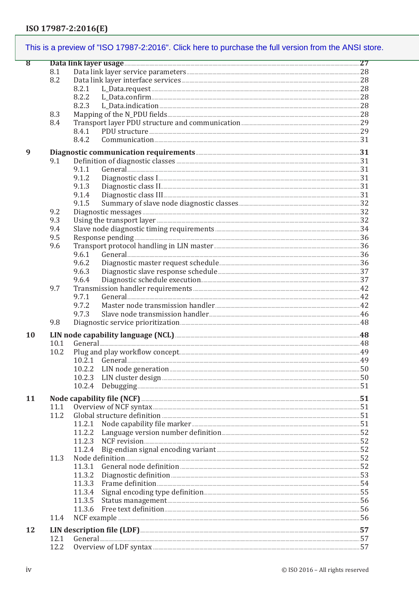| This is a preview of "ISO 17987-2:2016". Click here to purchase the full version from the ANSI store. |                                                              |                                                          |  |  |  |  |  |
|-------------------------------------------------------------------------------------------------------|--------------------------------------------------------------|----------------------------------------------------------|--|--|--|--|--|
| $\bf{8}$                                                                                              |                                                              | Data link layer usage 27                                 |  |  |  |  |  |
|                                                                                                       | 8.1                                                          |                                                          |  |  |  |  |  |
|                                                                                                       | 8.2                                                          |                                                          |  |  |  |  |  |
|                                                                                                       |                                                              | 8.2.1                                                    |  |  |  |  |  |
|                                                                                                       |                                                              | 8.2.2                                                    |  |  |  |  |  |
|                                                                                                       |                                                              | 8.2.3                                                    |  |  |  |  |  |
|                                                                                                       | 8.3                                                          |                                                          |  |  |  |  |  |
|                                                                                                       |                                                              |                                                          |  |  |  |  |  |
|                                                                                                       | 8.4                                                          |                                                          |  |  |  |  |  |
|                                                                                                       |                                                              | 8.4.1                                                    |  |  |  |  |  |
|                                                                                                       |                                                              | 8.4.2                                                    |  |  |  |  |  |
| 9                                                                                                     | Diagnostic communication requirements <b>Example 2018</b> 21 |                                                          |  |  |  |  |  |
|                                                                                                       | 9.1                                                          |                                                          |  |  |  |  |  |
|                                                                                                       |                                                              | 9.1.1                                                    |  |  |  |  |  |
|                                                                                                       |                                                              |                                                          |  |  |  |  |  |
|                                                                                                       |                                                              | 9.1.2                                                    |  |  |  |  |  |
|                                                                                                       |                                                              | Diagnostic class II. 31<br>9.1.3                         |  |  |  |  |  |
|                                                                                                       |                                                              | 9.1.4                                                    |  |  |  |  |  |
|                                                                                                       |                                                              | 9.1.5                                                    |  |  |  |  |  |
|                                                                                                       | 9.2                                                          |                                                          |  |  |  |  |  |
|                                                                                                       | 9.3                                                          |                                                          |  |  |  |  |  |
|                                                                                                       | 9.4                                                          |                                                          |  |  |  |  |  |
|                                                                                                       | 9.5                                                          | Response pending 36                                      |  |  |  |  |  |
|                                                                                                       | 9.6                                                          |                                                          |  |  |  |  |  |
|                                                                                                       |                                                              | General 26<br>9.6.1                                      |  |  |  |  |  |
|                                                                                                       |                                                              |                                                          |  |  |  |  |  |
|                                                                                                       |                                                              | 9.6.2                                                    |  |  |  |  |  |
|                                                                                                       |                                                              | 9.6.3                                                    |  |  |  |  |  |
|                                                                                                       |                                                              | 9.6.4                                                    |  |  |  |  |  |
|                                                                                                       | 9.7                                                          |                                                          |  |  |  |  |  |
|                                                                                                       |                                                              | 9.7.1                                                    |  |  |  |  |  |
|                                                                                                       |                                                              | 9.7.2                                                    |  |  |  |  |  |
|                                                                                                       |                                                              | 9.7.3                                                    |  |  |  |  |  |
|                                                                                                       | 9.8                                                          |                                                          |  |  |  |  |  |
|                                                                                                       |                                                              |                                                          |  |  |  |  |  |
| 10                                                                                                    |                                                              |                                                          |  |  |  |  |  |
|                                                                                                       | 10.1                                                         |                                                          |  |  |  |  |  |
|                                                                                                       | 10.2                                                         |                                                          |  |  |  |  |  |
|                                                                                                       |                                                              | 10.2.1                                                   |  |  |  |  |  |
|                                                                                                       |                                                              | 10.2.2                                                   |  |  |  |  |  |
|                                                                                                       |                                                              | 10.2.3                                                   |  |  |  |  |  |
|                                                                                                       |                                                              | Debugging 51<br>10.2.4                                   |  |  |  |  |  |
|                                                                                                       |                                                              |                                                          |  |  |  |  |  |
| 11                                                                                                    |                                                              | Node capability file (NCF) <b>Example 20</b> S1          |  |  |  |  |  |
|                                                                                                       | 11.1                                                         |                                                          |  |  |  |  |  |
|                                                                                                       | 11.2                                                         |                                                          |  |  |  |  |  |
|                                                                                                       |                                                              | 11.2.1                                                   |  |  |  |  |  |
|                                                                                                       |                                                              | 11.2.2                                                   |  |  |  |  |  |
|                                                                                                       |                                                              | 11.2.3                                                   |  |  |  |  |  |
|                                                                                                       |                                                              | 11.2.4                                                   |  |  |  |  |  |
|                                                                                                       |                                                              |                                                          |  |  |  |  |  |
|                                                                                                       | 11.3                                                         |                                                          |  |  |  |  |  |
|                                                                                                       |                                                              | 11.3.1                                                   |  |  |  |  |  |
|                                                                                                       |                                                              | 11.3.2                                                   |  |  |  |  |  |
|                                                                                                       |                                                              | 11.3.3                                                   |  |  |  |  |  |
|                                                                                                       |                                                              | 11.3.4                                                   |  |  |  |  |  |
|                                                                                                       |                                                              | 11.3.5                                                   |  |  |  |  |  |
|                                                                                                       |                                                              | 11.3.6                                                   |  |  |  |  |  |
|                                                                                                       | 11.4                                                         |                                                          |  |  |  |  |  |
|                                                                                                       |                                                              |                                                          |  |  |  |  |  |
| 12                                                                                                    |                                                              | LIN description file (LDF) <b>Manual Construction</b> 57 |  |  |  |  |  |
|                                                                                                       | 12.1                                                         |                                                          |  |  |  |  |  |
|                                                                                                       | 12.2                                                         |                                                          |  |  |  |  |  |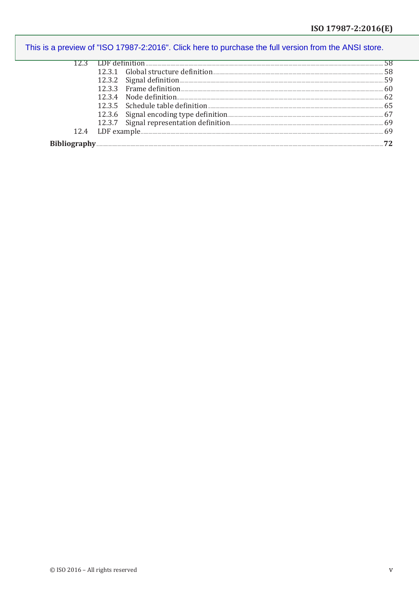|                     |  | - 65 |
|---------------------|--|------|
|                     |  |      |
|                     |  |      |
| 124                 |  | 69   |
| <b>Bibliography</b> |  |      |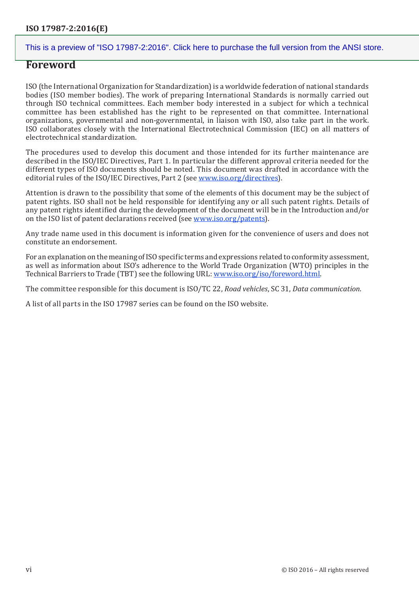## **Foreword**

ISO (the International Organization for Standardization) is a worldwide federation of national standards bodies (ISO member bodies). The work of preparing International Standards is normally carried out through ISO technical committees. Each member body interested in a subject for which a technical committee has been established has the right to be represented on that committee. International organizations, governmental and non-governmental, in liaison with ISO, also take part in the work. ISO collaborates closely with the International Electrotechnical Commission (IEC) on all matters of electrotechnical standardization.

The procedures used to develop this document and those intended for its further maintenance are described in the ISO/IEC Directives, Part 1. In particular the different approval criteria needed for the different types of ISO documents should be noted. This document was drafted in accordance with the editorial rules of the ISO/IEC Directives, Part 2 (see [www.iso.org/directives\)](www.iso.org/directives).

Attention is drawn to the possibility that some of the elements of this document may be the subject of patent rights. ISO shall not be held responsible for identifying any or all such patent rights. Details of any patent rights identified during the development of the document will be in the Introduction and/or on the ISO list of patent declarations received (see <www.iso.org/patents>).

Any trade name used in this document is information given for the convenience of users and does not constitute an endorsement.

For an explanation on the meaning of ISO specific terms and expressions related to conformity assessment, as well as information about ISO's adherence to the World Trade Organization (WTO) principles in the Technical Barriers to Trade (TBT) see the following URL: <www.iso.org/iso/foreword.html>.

The committee responsible for this document is ISO/TC 22, *Road vehicles*, SC 31, *Data communication*.

A list of all parts in the ISO 17987 series can be found on the ISO website.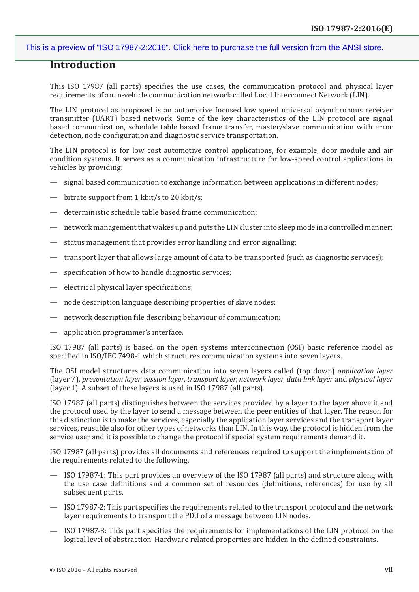# **Introduction**

This ISO 17987 (all parts) specifies the use cases, the communication protocol and physical layer requirements of an in-vehicle communication network called Local Interconnect Network (LIN).

The LIN protocol as proposed is an automotive focused low speed universal asynchronous receiver transmitter (UART) based network. Some of the key characteristics of the LIN protocol are signal based communication, schedule table based frame transfer, master/slave communication with error detection, node configuration and diagnostic service transportation.

The LIN protocol is for low cost automotive control applications, for example, door module and air condition systems. It serves as a communication infrastructure for low-speed control applications in vehicles by providing:

- signal based communication to exchange information between applications in different nodes;
- bitrate support from 1 kbit/s to 20 kbit/s;
- deterministic schedule table based frame communication;
- network management that wakes up and puts the LIN cluster into sleep mode in a controlled manner;
- status management that provides error handling and error signalling;
- transport layer that allows large amount of data to be transported (such as diagnostic services);
- specification of how to handle diagnostic services;
- electrical physical layer specifications;
- node description language describing properties of slave nodes;
- network description file describing behaviour of communication;
- application programmer's interface.

ISO 17987 (all parts) is based on the open systems interconnection (OSI) basic reference model as specified in ISO/IEC 7498-1 which structures communication systems into seven layers.

The OSI model structures data communication into seven layers called (top down) *application layer* (layer 7), *presentation layer*, *session layer*, *transport layer*, *network layer*, *data link layer* and *physical layer* (layer 1). A subset of these layers is used in ISO 17987 (all parts).

ISO 17987 (all parts) distinguishes between the services provided by a layer to the layer above it and the protocol used by the layer to send a message between the peer entities of that layer. The reason for this distinction is to make the services, especially the application layer services and the transport layer services, reusable also for other types of networks than LIN. In this way, the protocol is hidden from the service user and it is possible to change the protocol if special system requirements demand it.

ISO 17987 (all parts) provides all documents and references required to support the implementation of the requirements related to the following.

- ISO 17987-1: This part provides an overview of the ISO 17987 (all parts) and structure along with the use case definitions and a common set of resources (definitions, references) for use by all subsequent parts.
- ISO 17987-2: This part specifies the requirements related to the transport protocol and the network layer requirements to transport the PDU of a message between LIN nodes.
- ISO 17987-3: This part specifies the requirements for implementations of the LIN protocol on the logical level of abstraction. Hardware related properties are hidden in the defined constraints.